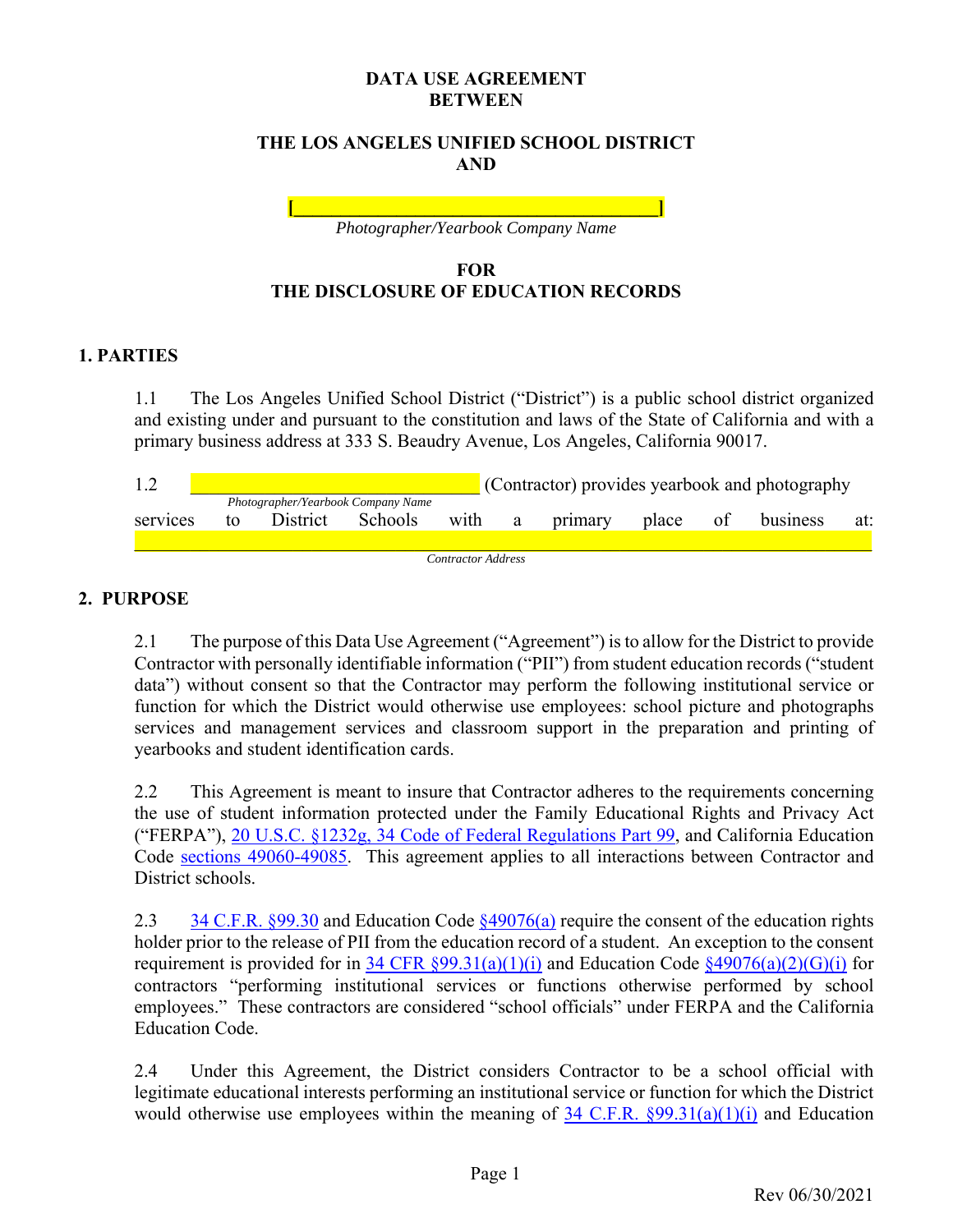#### **DATA USE AGREEMENT BETWEEN**

#### **THE LOS ANGELES UNIFIED SCHOOL DISTRICT AND**

**[\_\_\_\_\_\_\_\_\_\_\_\_\_\_\_\_\_\_\_\_\_\_\_\_\_\_\_\_\_\_\_\_\_\_\_\_\_\_\_]**  *Photographer/Yearbook Company Name* 

### **FOR THE DISCLOSURE OF EDUCATION RECORDS**

#### **1. PARTIES**

1.1 The Los Angeles Unified School District ("District") is a public school district organized and existing under and pursuant to the constitution and laws of the State of California and with a primary business address at 333 S. Beaudry Avenue, Los Angeles, California 90017.

|          | (Contractor) provides yearbook and photography |          |         |                    |  |           |          |  |          |     |
|----------|------------------------------------------------|----------|---------|--------------------|--|-----------|----------|--|----------|-----|
|          | Photographer/Yearbook Company Name             |          |         |                    |  |           |          |  |          |     |
| services | tο                                             | District | Schools | with               |  | a primary | place of |  | business | at: |
|          |                                                |          |         |                    |  |           |          |  |          |     |
|          |                                                |          |         | Contractor Address |  |           |          |  |          |     |

### **2. PURPOSE**

2.1 The purpose of this Data Use Agreement ("Agreement") is to allow for the District to provide Contractor with personally identifiable information ("PII") from student education records ("student data") without consent so that the Contractor may perform the following institutional service or function for which the District would otherwise use employees: school picture and photographs services and management services and classroom support in the preparation and printing of yearbooks and student identification cards.

2.2 This Agreement is meant to insure that Contractor adheres to the requirements concerning the use of student information protected under the Family Educational Rights and Privacy Act ("FERPA"), 20 U.S.C. §1232g, 34 Code of Federal Regulations Part 99, and California Education Code sections 49060-49085. This agreement applies to all interactions between Contractor and District schools.

2.3 34 C.F.R. §99.30 and Education Code §49076(a) require the consent of the education rights holder prior to the release of PII from the education record of a student. An exception to the consent requirement is provided for in 34 CFR  $\S 99.31(a)(1)(i)$  and Education Code  $\S 49076(a)(2)(G)(i)$  for contractors "performing institutional services or functions otherwise performed by school employees." These contractors are considered "school officials" under FERPA and the California Education Code.

2.4 Under this Agreement, the District considers Contractor to be a school official with legitimate educational interests performing an institutional service or function for which the District would otherwise use employees within the meaning of  $34$  C.F.R.  $\frac{99.31(a)(1)(i)}{2}$  and Education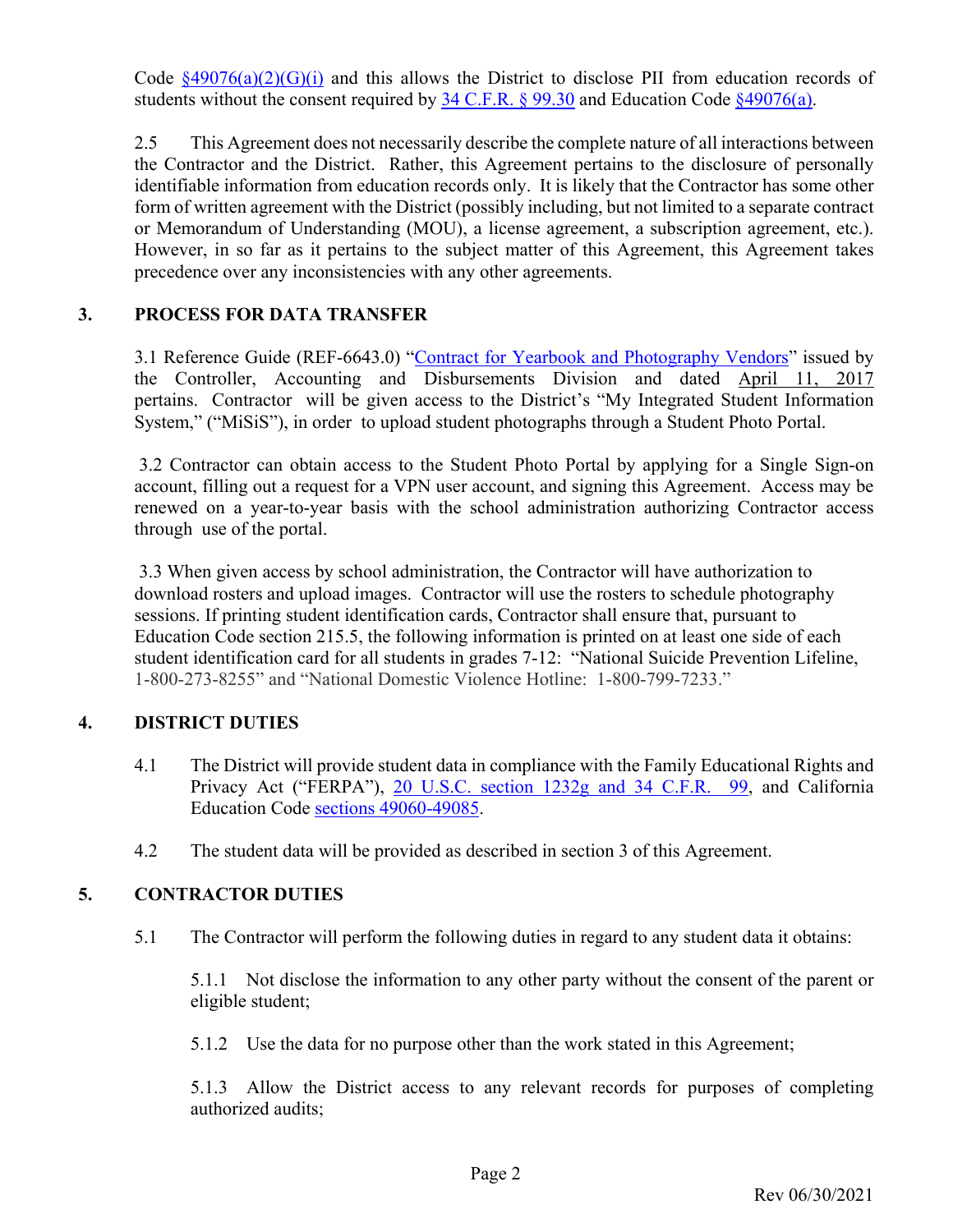Code  $\frac{849076(a)(2)(G)(i)}{4}$  and this allows the District to disclose PII from education records of students without the consent required by  $34$  C.F.R. § 99.30 and Education Code §49076(a).

2.5 This Agreement does not necessarily describe the complete nature of all interactions between the Contractor and the District. Rather, this Agreement pertains to the disclosure of personally identifiable information from education records only. It is likely that the Contractor has some other form of written agreement with the District (possibly including, but not limited to a separate contract or Memorandum of Understanding (MOU), a license agreement, a subscription agreement, etc.). However, in so far as it pertains to the subject matter of this Agreement, this Agreement takes precedence over any inconsistencies with any other agreements.

### **3. PROCESS FOR DATA TRANSFER**

3.1 Reference Guide (REF-6643.0) "Contract for Yearbook and Photography Vendors" issued by the Controller, Accounting and Disbursements Division and dated April 11, 2017 pertains. Contractor will be given access to the District's "My Integrated Student Information System," ("MiSiS"), in order to upload student photographs through a Student Photo Portal.

 3.2 Contractor can obtain access to the Student Photo Portal by applying for a Single Sign-on account, filling out a request for a VPN user account, and signing this Agreement. Access may be renewed on a year-to-year basis with the school administration authorizing Contractor access through use of the portal.

 3.3 When given access by school administration, the Contractor will have authorization to download rosters and upload images. Contractor will use the rosters to schedule photography sessions. If printing student identification cards, Contractor shall ensure that, pursuant to Education Code section 215.5, the following information is printed on at least one side of each student identification card for all students in grades 7-12: "National Suicide Prevention Lifeline, 1-800-273-8255" and "National Domestic Violence Hotline: 1-800-799-7233."

### **4. DISTRICT DUTIES**

- 4.1 The District will provide student data in compliance with the Family Educational Rights and Privacy Act ("FERPA"), 20 U.S.C. section 1232g and 34 C.F.R. 99, and California Education Code sections 49060-49085.
- 4.2 The student data will be provided as described in section 3 of this Agreement.

### **5. CONTRACTOR DUTIES**

5.1 The Contractor will perform the following duties in regard to any student data it obtains:

5.1.1 Not disclose the information to any other party without the consent of the parent or eligible student;

5.1.2 Use the data for no purpose other than the work stated in this Agreement;

5.1.3 Allow the District access to any relevant records for purposes of completing authorized audits;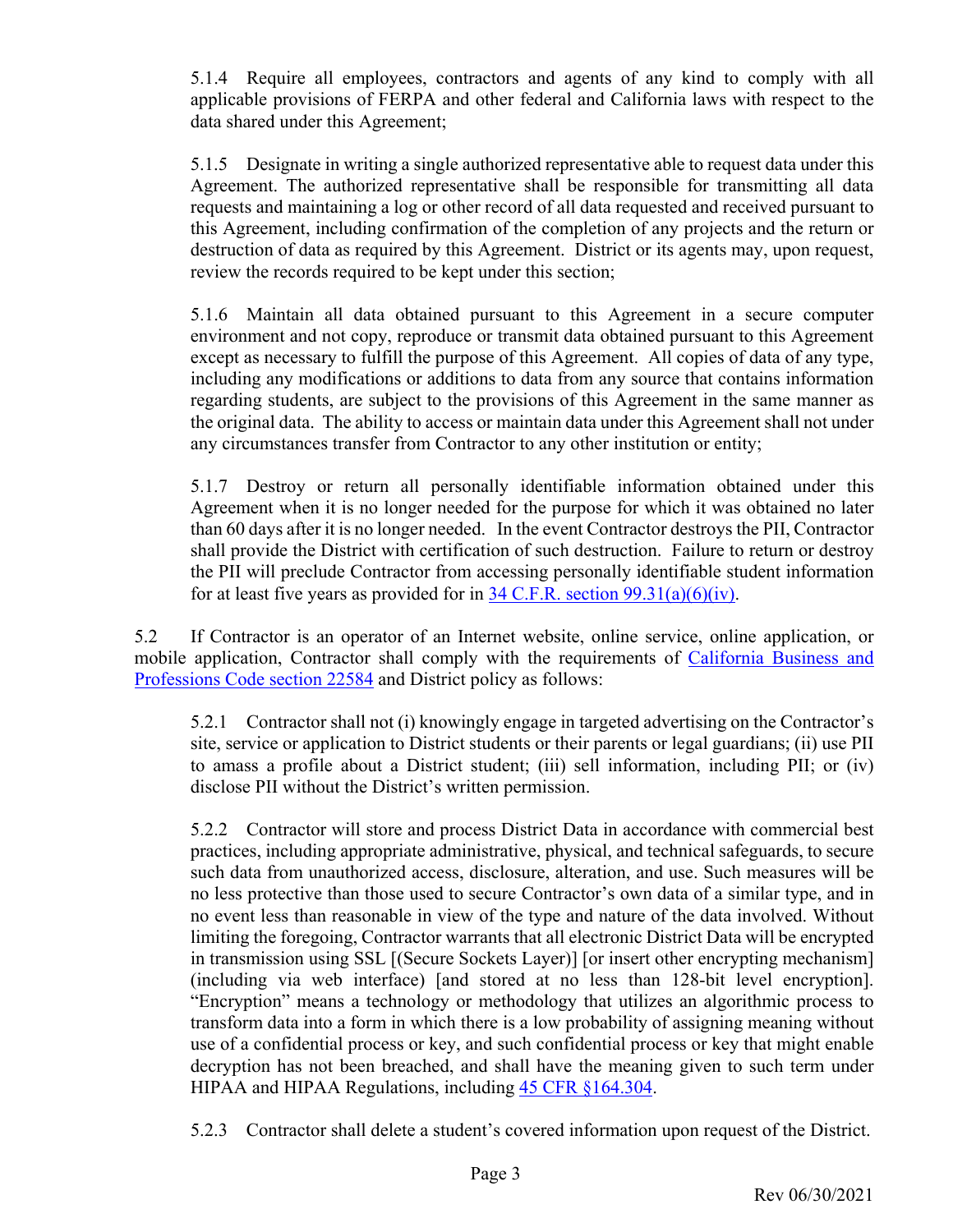5.1.4 Require all employees, contractors and agents of any kind to comply with all applicable provisions of FERPA and other federal and California laws with respect to the data shared under this Agreement;

5.1.5 Designate in writing a single authorized representative able to request data under this Agreement. The authorized representative shall be responsible for transmitting all data requests and maintaining a log or other record of all data requested and received pursuant to this Agreement, including confirmation of the completion of any projects and the return or destruction of data as required by this Agreement. District or its agents may, upon request, review the records required to be kept under this section;

5.1.6 Maintain all data obtained pursuant to this Agreement in a secure computer environment and not copy, reproduce or transmit data obtained pursuant to this Agreement except as necessary to fulfill the purpose of this Agreement. All copies of data of any type, including any modifications or additions to data from any source that contains information regarding students, are subject to the provisions of this Agreement in the same manner as the original data. The ability to access or maintain data under this Agreement shall not under any circumstances transfer from Contractor to any other institution or entity;

5.1.7 Destroy or return all personally identifiable information obtained under this Agreement when it is no longer needed for the purpose for which it was obtained no later than 60 days after it is no longer needed. In the event Contractor destroys the PII, Contractor shall provide the District with certification of such destruction. Failure to return or destroy the PII will preclude Contractor from accessing personally identifiable student information for at least five years as provided for in  $34$  C.F.R. section  $99.31(a)(6)(iv)$ .

5.2 If Contractor is an operator of an Internet website, online service, online application, or mobile application, Contractor shall comply with the requirements of California Business and Professions Code section 22584 and District policy as follows:

5.2.1 Contractor shall not (i) knowingly engage in targeted advertising on the Contractor's site, service or application to District students or their parents or legal guardians; (ii) use PII to amass a profile about a District student; (iii) sell information, including PII; or (iv) disclose PII without the District's written permission.

5.2.2 Contractor will store and process District Data in accordance with commercial best practices, including appropriate administrative, physical, and technical safeguards, to secure such data from unauthorized access, disclosure, alteration, and use. Such measures will be no less protective than those used to secure Contractor's own data of a similar type, and in no event less than reasonable in view of the type and nature of the data involved. Without limiting the foregoing, Contractor warrants that all electronic District Data will be encrypted in transmission using SSL [(Secure Sockets Layer)] [or insert other encrypting mechanism] (including via web interface) [and stored at no less than 128-bit level encryption]. "Encryption" means a technology or methodology that utilizes an algorithmic process to transform data into a form in which there is a low probability of assigning meaning without use of a confidential process or key, and such confidential process or key that might enable decryption has not been breached, and shall have the meaning given to such term under HIPAA and HIPAA Regulations, including 45 CFR §164.304.

5.2.3 Contractor shall delete a student's covered information upon request of the District.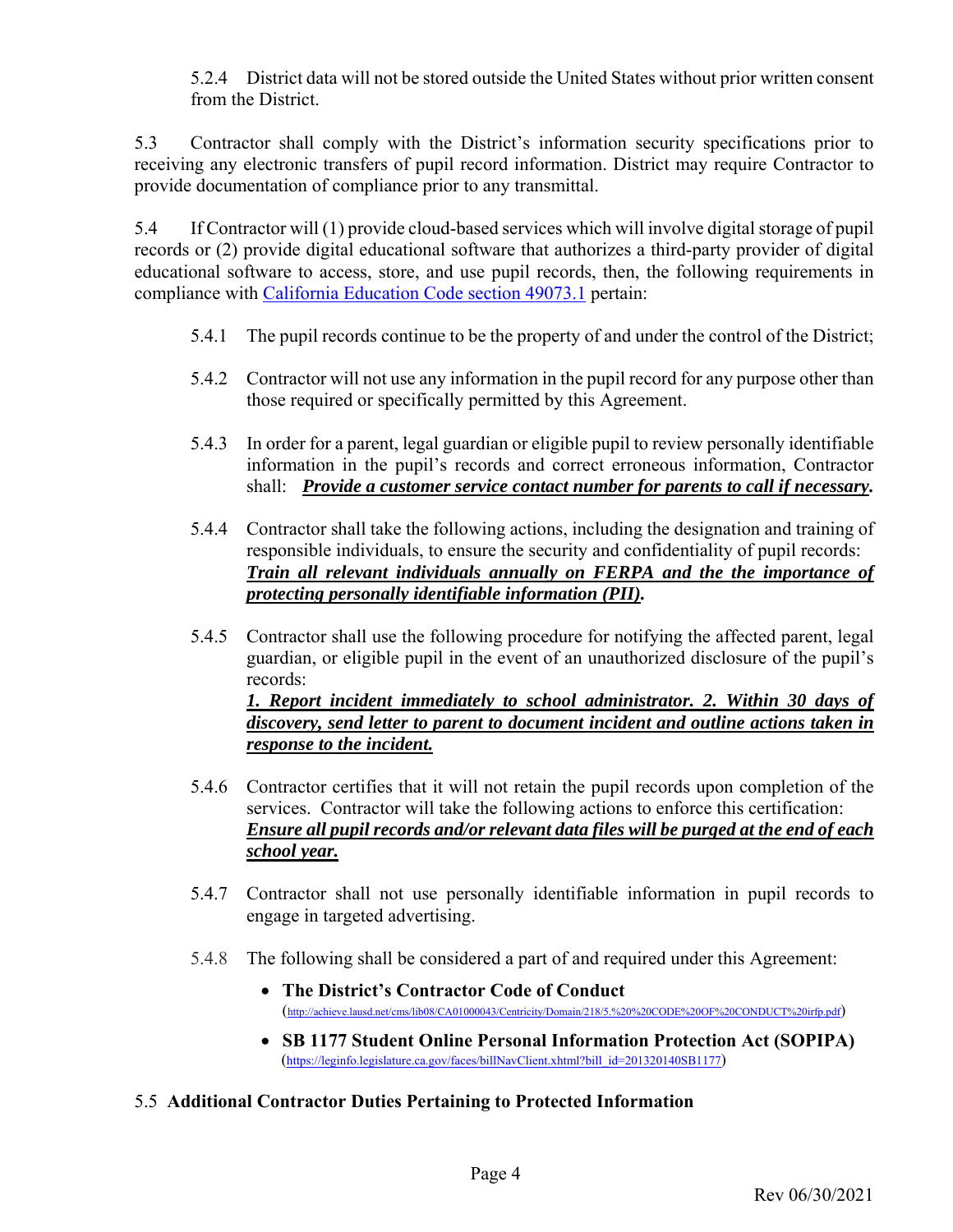5.2.4 District data will not be stored outside the United States without prior written consent from the District.

5.3 Contractor shall comply with the District's information security specifications prior to receiving any electronic transfers of pupil record information. District may require Contractor to provide documentation of compliance prior to any transmittal.

5.4 If Contractor will (1) provide cloud-based services which will involve digital storage of pupil records or (2) provide digital educational software that authorizes a third-party provider of digital educational software to access, store, and use pupil records, then, the following requirements in compliance with California Education Code section 49073.1 pertain:

- 5.4.1 The pupil records continue to be the property of and under the control of the District;
- 5.4.2 Contractor will not use any information in the pupil record for any purpose other than those required or specifically permitted by this Agreement.
- 5.4.3 In order for a parent, legal guardian or eligible pupil to review personally identifiable information in the pupil's records and correct erroneous information, Contractor shall: *Provide a customer service contact number for parents to call if necessary.*
- 5.4.4 Contractor shall take the following actions, including the designation and training of responsible individuals, to ensure the security and confidentiality of pupil records: *Train all relevant individuals annually on FERPA and the the importance of protecting personally identifiable information (PII).*
- 5.4.5 Contractor shall use the following procedure for notifying the affected parent, legal guardian, or eligible pupil in the event of an unauthorized disclosure of the pupil's records: *1. Report incident immediately to school administrator. 2. Within 30 days of discovery, send letter to parent to document incident and outline actions taken in*

*response to the incident.* 

- 5.4.6 Contractor certifies that it will not retain the pupil records upon completion of the services. Contractor will take the following actions to enforce this certification: *Ensure all pupil records and/or relevant data files will be purged at the end of each school year.*
- 5.4.7 Contractor shall not use personally identifiable information in pupil records to engage in targeted advertising.
- 5.4.8 The following shall be considered a part of and required under this Agreement:
	- **The District's Contractor Code of Conduct** (http://achieve.lausd.net/cms/lib08/CA01000043/Centricity/Domain/218/5.%20%20CODE%20OF%20CONDUCT%20irfp.pdf)
	- **SB 1177 Student Online Personal Information Protection Act (SOPIPA)** (https://leginfo.legislature.ca.gov/faces/billNavClient.xhtml?bill\_id=201320140SB1177)
- 5.5 **Additional Contractor Duties Pertaining to Protected Information**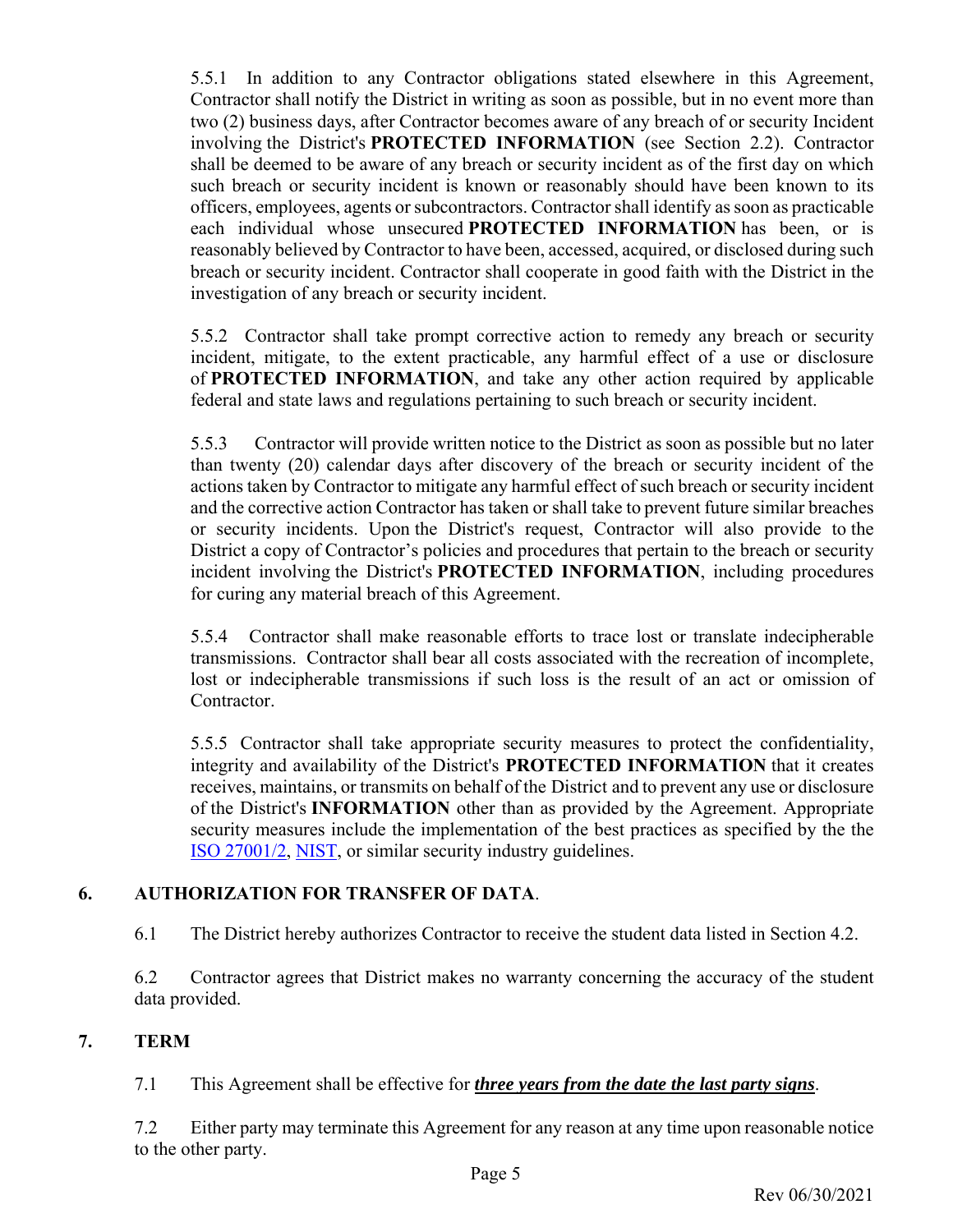5.5.1 In addition to any Contractor obligations stated elsewhere in this Agreement, Contractor shall notify the District in writing as soon as possible, but in no event more than two (2) business days, after Contractor becomes aware of any breach of or security Incident involving the District's **PROTECTED INFORMATION** (see Section 2.2). Contractor shall be deemed to be aware of any breach or security incident as of the first day on which such breach or security incident is known or reasonably should have been known to its officers, employees, agents or subcontractors. Contractor shall identify as soon as practicable each individual whose unsecured **PROTECTED INFORMATION** has been, or is reasonably believed by Contractor to have been, accessed, acquired, or disclosed during such breach or security incident. Contractor shall cooperate in good faith with the District in the investigation of any breach or security incident.

5.5.2 Contractor shall take prompt corrective action to remedy any breach or security incident, mitigate, to the extent practicable, any harmful effect of a use or disclosure of **PROTECTED INFORMATION**, and take any other action required by applicable federal and state laws and regulations pertaining to such breach or security incident.

5.5.3 Contractor will provide written notice to the District as soon as possible but no later than twenty (20) calendar days after discovery of the breach or security incident of the actions taken by Contractor to mitigate any harmful effect of such breach or security incident and the corrective action Contractor has taken or shall take to prevent future similar breaches or security incidents. Upon the District's request, Contractor will also provide to the District a copy of Contractor's policies and procedures that pertain to the breach or security incident involving the District's **PROTECTED INFORMATION**, including procedures for curing any material breach of this Agreement.

5.5.4 Contractor shall make reasonable efforts to trace lost or translate indecipherable transmissions. Contractor shall bear all costs associated with the recreation of incomplete, lost or indecipherable transmissions if such loss is the result of an act or omission of Contractor.

5.5.5 Contractor shall take appropriate security measures to protect the confidentiality, integrity and availability of the District's **PROTECTED INFORMATION** that it creates receives, maintains, or transmits on behalf of the District and to prevent any use or disclosure of the District's **INFORMATION** other than as provided by the Agreement. Appropriate security measures include the implementation of the best practices as specified by the the ISO 27001/2, NIST, or similar security industry guidelines.

### **6. AUTHORIZATION FOR TRANSFER OF DATA**.

6.1 The District hereby authorizes Contractor to receive the student data listed in Section 4.2.

6.2 Contractor agrees that District makes no warranty concerning the accuracy of the student data provided.

### **7. TERM**

7.1 This Agreement shall be effective for *three years from the date the last party signs*.

7.2 Either party may terminate this Agreement for any reason at any time upon reasonable notice to the other party.